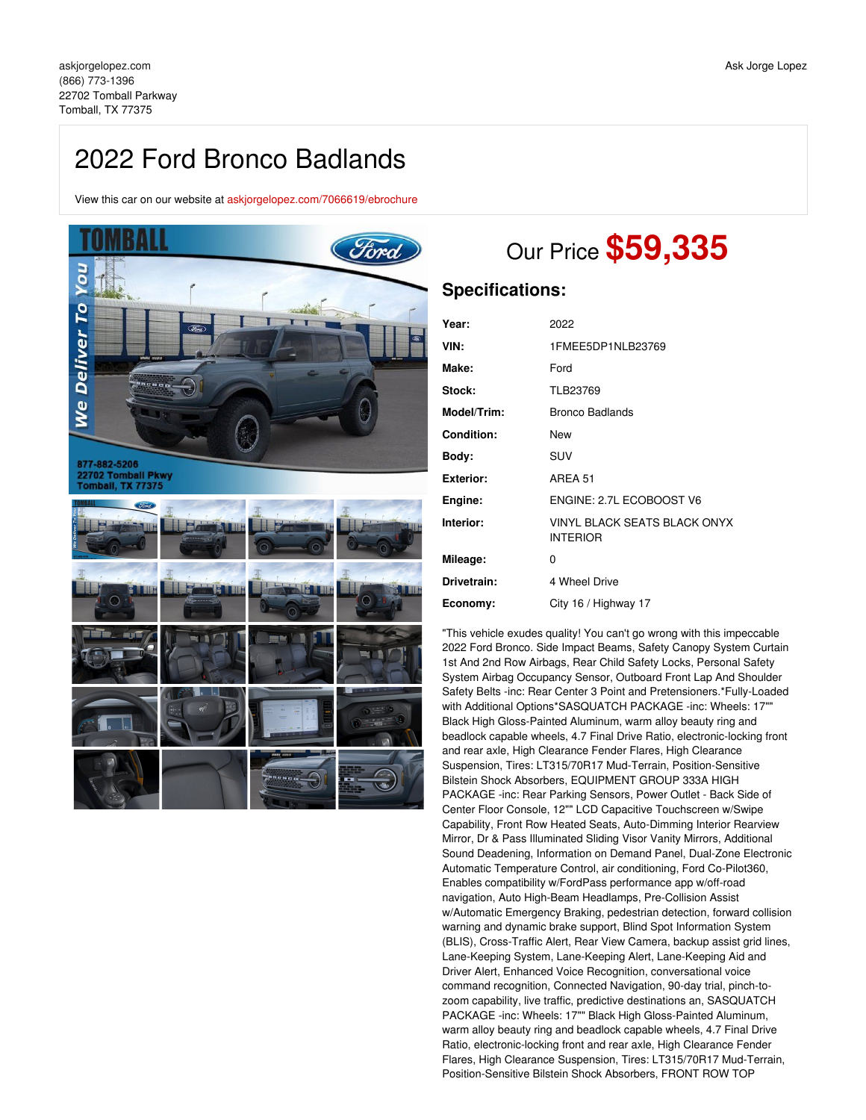# 2022 Ford Bronco Badlands

View this car on our website at [askjorgelopez.com/7066619/ebrochure](https://askjorgelopez.com/vehicle/7066619/2022-ford-bronco-badlands-tomball-tx-77375/7066619/ebrochure)



# Our Price **\$59,335**

## **Specifications:**

| Year:            | 2022                                            |
|------------------|-------------------------------------------------|
| VIN:             | 1FMEE5DP1NLB23769                               |
| Make:            | Ford                                            |
| Stock:           | TLB23769                                        |
| Model/Trim:      | Bronco Badlands                                 |
| Condition:       | New                                             |
| Body:            | SUV                                             |
| <b>Exterior:</b> | AREA 51                                         |
| Engine:          | ENGINE: 2.7L ECOBOOST V6                        |
| Interior:        | VINYL BLACK SEATS BLACK ONYX<br><b>INTERIOR</b> |
| Mileage:         | 0                                               |
| Drivetrain:      | 4 Wheel Drive                                   |
| Economy:         | City 16 / Highway 17                            |

"This vehicle exudes quality! You can't go wrong with this impeccable 2022 Ford Bronco. Side Impact Beams, Safety Canopy System Curtain 1st And 2nd Row Airbags, Rear Child Safety Locks, Personal Safety System Airbag Occupancy Sensor, Outboard Front Lap And Shoulder Safety Belts -inc: Rear Center 3 Point and Pretensioners.\*Fully-Loaded with Additional Options\*SASQUATCH PACKAGE -inc: Wheels: 17"" Black High Gloss-Painted Aluminum, warm alloy beauty ring and beadlock capable wheels, 4.7 Final Drive Ratio, electronic-locking front and rear axle, High Clearance Fender Flares, High Clearance Suspension, Tires: LT315/70R17 Mud-Terrain, Position-Sensitive Bilstein Shock Absorbers, EQUIPMENT GROUP 333A HIGH PACKAGE -inc: Rear Parking Sensors, Power Outlet - Back Side of Center Floor Console, 12"" LCD Capacitive Touchscreen w/Swipe Capability, Front Row Heated Seats, Auto-Dimming Interior Rearview Mirror, Dr & Pass Illuminated Sliding Visor Vanity Mirrors, Additional Sound Deadening, Information on Demand Panel, Dual-Zone Electronic Automatic Temperature Control, air conditioning, Ford Co-Pilot360, Enables compatibility w/FordPass performance app w/off-road navigation, Auto High-Beam Headlamps, Pre-Collision Assist w/Automatic Emergency Braking, pedestrian detection, forward collision warning and dynamic brake support, Blind Spot Information System (BLIS), Cross-Traffic Alert, Rear View Camera, backup assist grid lines, Lane-Keeping System, Lane-Keeping Alert, Lane-Keeping Aid and Driver Alert, Enhanced Voice Recognition, conversational voice command recognition, Connected Navigation, 90-day trial, pinch-tozoom capability, live traffic, predictive destinations an, SASQUATCH PACKAGE -inc: Wheels: 17"" Black High Gloss-Painted Aluminum, warm alloy beauty ring and beadlock capable wheels, 4.7 Final Drive Ratio, electronic-locking front and rear axle, High Clearance Fender Flares, High Clearance Suspension, Tires: LT315/70R17 Mud-Terrain, Position-Sensitive Bilstein Shock Absorbers, FRONT ROW TOP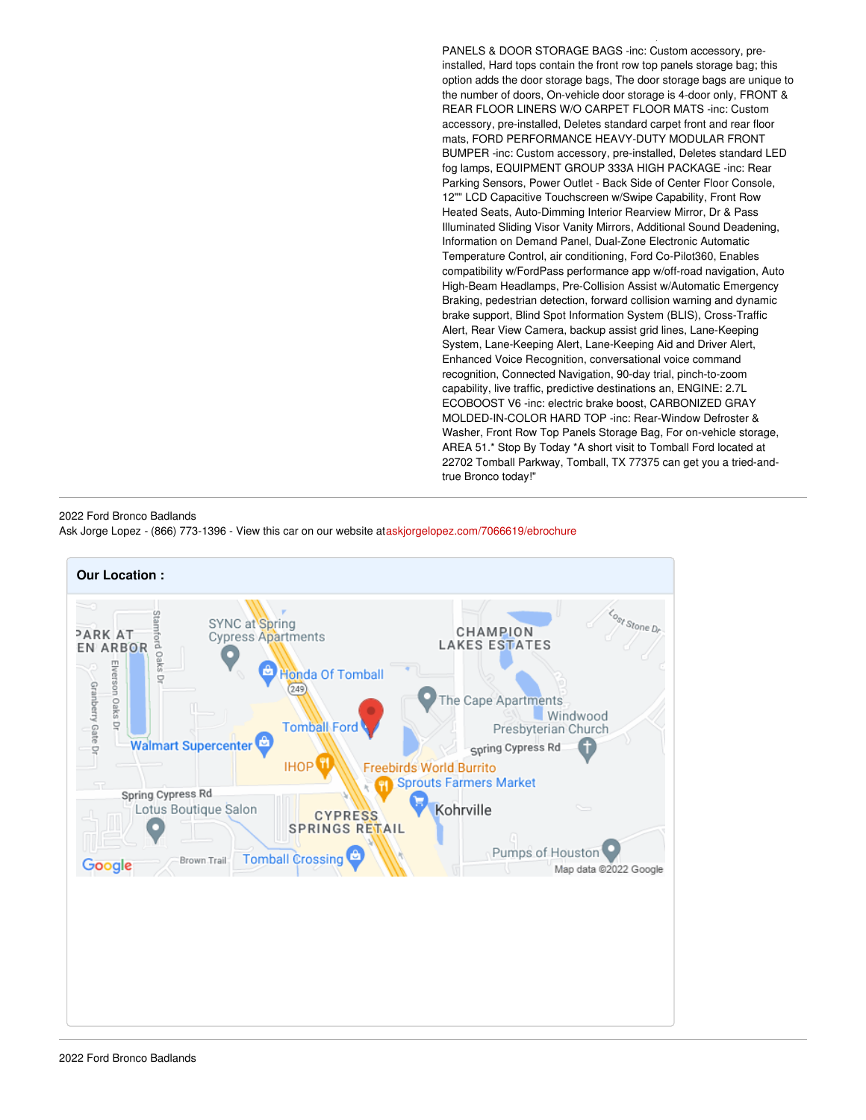PANELS & DOOR STORAGE BAGS -inc: Custom accessory, preinstalled, Hard tops contain the front row top panels storage bag; this option adds the door storage bags, The door storage bags are unique to the number of doors, On-vehicle door storage is 4-door only, FRONT & REAR FLOOR LINERS W/O CARPET FLOOR MATS -inc: Custom accessory, pre-installed, Deletes standard carpet front and rear floor mats, FORD PERFORMANCE HEAVY-DUTY MODULAR FRONT BUMPER -inc: Custom accessory, pre-installed, Deletes standard LED fog lamps, EQUIPMENT GROUP 333A HIGH PACKAGE -inc: Rear Parking Sensors, Power Outlet - Back Side of Center Floor Console, 12"" LCD Capacitive Touchscreen w/Swipe Capability, Front Row Heated Seats, Auto-Dimming Interior Rearview Mirror, Dr & Pass Illuminated Sliding Visor Vanity Mirrors, Additional Sound Deadening, Information on Demand Panel, Dual-Zone Electronic Automatic Temperature Control, air conditioning, Ford Co-Pilot360, Enables compatibility w/FordPass performance app w/off-road navigation, Auto High-Beam Headlamps, Pre-Collision Assist w/Automatic Emergency Braking, pedestrian detection, forward collision warning and dynamic brake support, Blind Spot Information System (BLIS), Cross-Traffic Alert, Rear View Camera, backup assist grid lines, Lane-Keeping System, Lane-Keeping Alert, Lane-Keeping Aid and Driver Alert, Enhanced Voice Recognition, conversational voice command recognition, Connected Navigation, 90-day trial, pinch-to-zoom capability, live traffic, predictive destinations an, ENGINE: 2.7L ECOBOOST V6 -inc: electric brake boost, CARBONIZED GRAY MOLDED-IN-COLOR HARD TOP -inc: Rear-Window Defroster & Washer, Front Row Top Panels Storage Bag, For on-vehicle storage, AREA 51.\* Stop By Today \*A short visit to Tomball Ford located at 22702 Tomball Parkway, Tomball, TX 77375 can get you a tried-andtrue Bronco today!"

Position-Sensitive Bilstein Shock Absorbers, FRONT ROW TOP

#### 2022 Ford Bronco Badlands Ask Jorge Lopez - (866) 773-1396 - View this car on our website at[askjorgelopez.com/7066619/ebrochure](https://askjorgelopez.com/vehicle/7066619/2022-ford-bronco-badlands-tomball-tx-77375/7066619/ebrochure)

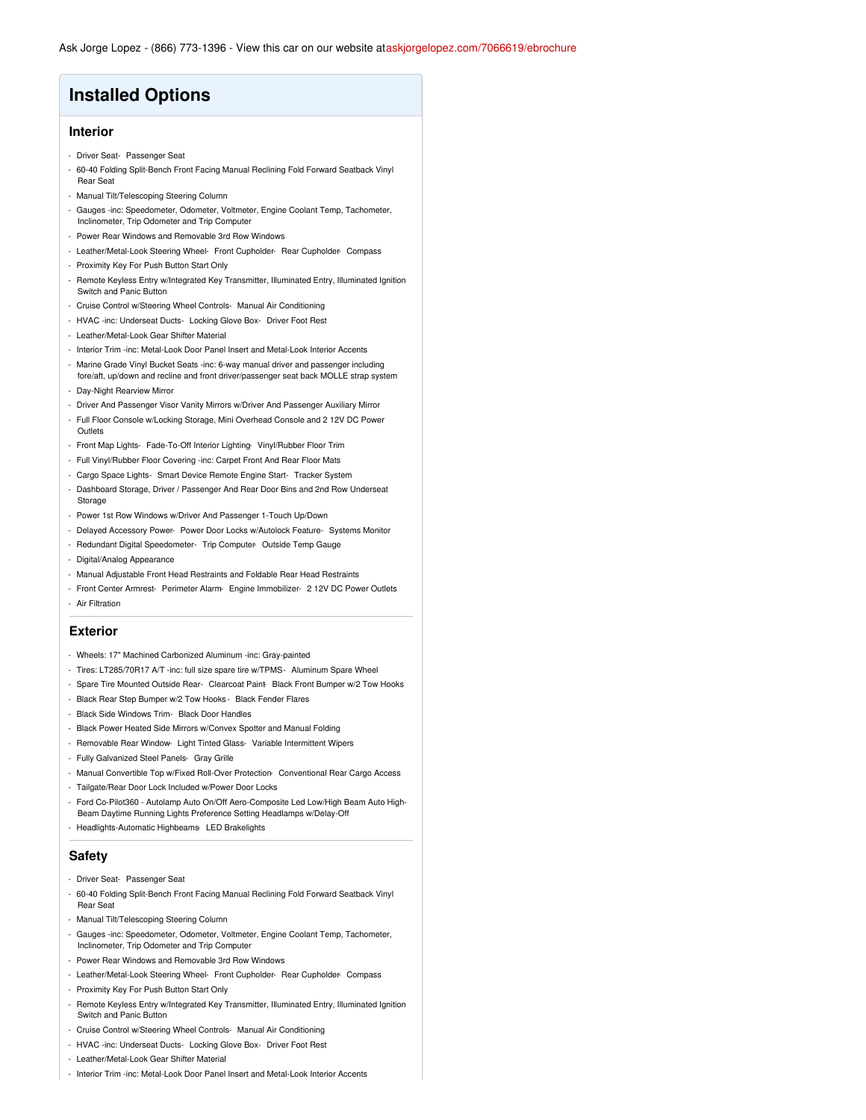# **Installed Options**

### **Interior**

- Driver Seat- Passenger Seat
- 60-40 Folding Split-Bench Front Facing Manual Reclining Fold Forward Seatback Vinyl Rear Seat
- Manual Tilt/Telescoping Steering Column
- Gauges -inc: Speedometer, Odometer, Voltmeter, Engine Coolant Temp, Tachometer, Inclinometer, Trip Odometer and Trip Computer
- Power Rear Windows and Removable 3rd Row Windows
- Leather/Metal-Look Steering Wheel- Front Cupholder- Rear Cupholder- Compass
- Proximity Key For Push Button Start Only
- Remote Keyless Entry w/Integrated Key Transmitter, Illuminated Entry, Illuminated Ignition Switch and Panic Button
- Cruise Control w/Steering Wheel Controls- Manual Air Conditioning
- HVAC -inc: Underseat Ducts- Locking Glove Box- Driver Foot Rest
- Leather/Metal-Look Gear Shifter Material
- Interior Trim -inc: Metal-Look Door Panel Insert and Metal-Look Interior Accents
- Marine Grade Vinyl Bucket Seats -inc: 6-way manual driver and passenger including
- fore/aft, up/down and recline and front driver/passenger seat back MOLLE strap system - Day-Night Rearview Mirror
- Driver And Passenger Visor Vanity Mirrors w/Driver And Passenger Auxiliary Mirror
- Full Floor Console w/Locking Storage, Mini Overhead Console and 2 12V DC Power **Outlets**
- Front Map Lights- Fade-To-Off Interior Lighting- Vinyl/Rubber Floor Trim
- Full Vinyl/Rubber Floor Covering -inc: Carpet Front And Rear Floor Mats
- Cargo Space Lights- Smart Device Remote Engine Start- Tracker System
- Dashboard Storage, Driver / Passenger And Rear Door Bins and 2nd Row Underseat Storage
- Power 1st Row Windows w/Driver And Passenger 1-Touch Up/Down
- Delayed Accessory Power- Power Door Locks w/Autolock Feature- Systems Monitor
- Redundant Digital Speedometer- Trip Computer- Outside Temp Gauge
- Digital/Analog Appearance
- Manual Adjustable Front Head Restraints and Foldable Rear Head Restraints
- Front Center Armrest- Perimeter Alarm- Engine Immobilizer- 2 12V DC Power Outlets - Air Filtration

#### **Exterior**

- Wheels: 17" Machined Carbonized Aluminum -inc: Gray-painted
- Tires: LT285/70R17 A/T -inc: full size spare tire w/TPMS- Aluminum Spare Wheel
- Spare Tire Mounted Outside Rear- Clearcoat Paint- Black Front Bumper w/2 Tow Hooks
- Black Rear Step Bumper w/2 Tow Hooks Black Fender Flares
- Black Side Windows Trim- Black Door Handles
- Black Power Heated Side Mirrors w/Convex Spotter and Manual Folding
- Removable Rear Window- Light Tinted Glass- Variable Intermittent Wipers
- Fully Galvanized Steel Panels- Gray Grille
- Manual Convertible Top w/Fixed Roll-Over Protection- Conventional Rear Cargo Access
- Tailgate/Rear Door Lock Included w/Power Door Locks
- Ford Co-Pilot360 Autolamp Auto On/Off Aero-Composite Led Low/High Beam Auto High-Beam Daytime Running Lights Preference Setting Headlamps w/Delay-Off
- Headlights-Automatic Highbeams- LED Brakelights

## **Safety**

- Driver Seat- Passenger Seat
- 60-40 Folding Split-Bench Front Facing Manual Reclining Fold Forward Seatback Vinyl Rear Seat
- Manual Tilt/Telescoping Steering Column
- Gauges -inc: Speedometer, Odometer, Voltmeter, Engine Coolant Temp, Tachometer, Inclinometer, Trip Odometer and Trip Computer
- Power Rear Windows and Removable 3rd Row Windows
- Leather/Metal-Look Steering Wheel- Front Cupholder- Rear Cupholder- Compass
- Proximity Key For Push Button Start Only
- Remote Keyless Entry w/Integrated Key Transmitter, Illuminated Entry, Illuminated Ignition Switch and Panic Butto
- Cruise Control w/Steering Wheel Controls- Manual Air Conditioning
- HVAC -inc: Underseat Ducts- Locking Glove Box- Driver Foot Rest
- Leather/Metal-Look Gear Shifter Material
- Interior Trim -inc: Metal-Look Door Panel Insert and Metal-Look Interior Accents